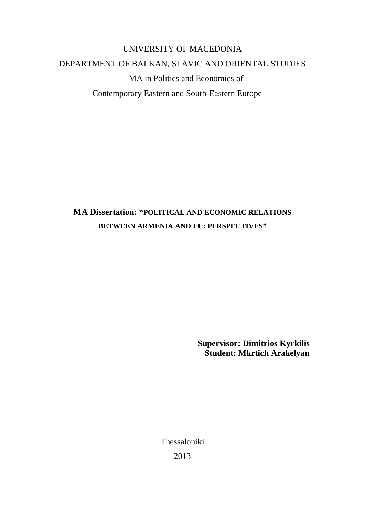# UNIVERSITY OF MACEDONIA DEPARTMENT OF BALKAN, SLAVIC AND ORIENTAL STUDIES MA in Politics and Economics of Contemporary Eastern and South-Eastern Europe

## **MA Dissertation: "POLITICAL AND ECONOMIC RELATIONS BETWEEN ARMENIA AND EU: PERSPECTIVES"**

**Supervisor: Dimitrios Kyrkilis Student: Mkrtich Arakelyan**

Thessaloniki 2013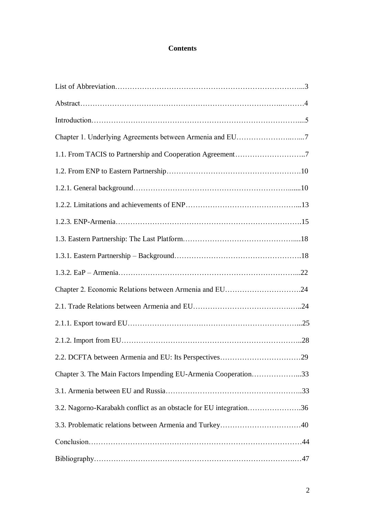## **Contents**

| 1.1. From TACIS to Partnership and Cooperation Agreement7          |  |
|--------------------------------------------------------------------|--|
|                                                                    |  |
|                                                                    |  |
|                                                                    |  |
|                                                                    |  |
|                                                                    |  |
|                                                                    |  |
|                                                                    |  |
| Chapter 2. Economic Relations between Armenia and EU24             |  |
|                                                                    |  |
|                                                                    |  |
|                                                                    |  |
|                                                                    |  |
| Chapter 3. The Main Factors Impending EU-Armenia Cooperation33     |  |
|                                                                    |  |
| 3.2. Nagorno-Karabakh conflict as an obstacle for EU integration36 |  |
|                                                                    |  |
|                                                                    |  |
|                                                                    |  |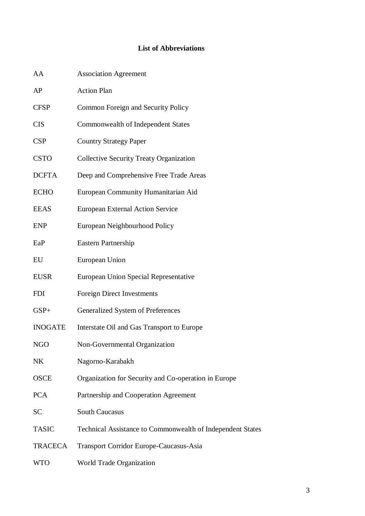## **List of Abbreviations**

| AA             | <b>Association Agreement</b>                               |
|----------------|------------------------------------------------------------|
| AP             | <b>Action Plan</b>                                         |
| <b>CFSP</b>    | Common Foreign and Security Policy                         |
| <b>CIS</b>     | Commonwealth of Independent States                         |
| <b>CSP</b>     | <b>Country Strategy Paper</b>                              |
| <b>CSTO</b>    | <b>Collective Security Treaty Organization</b>             |
| <b>DCFTA</b>   | Deep and Comprehensive Free Trade Areas                    |
| <b>ECHO</b>    | European Community Humanitarian Aid                        |
| <b>EEAS</b>    | <b>European External Action Service</b>                    |
| <b>ENP</b>     | European Neighbourhood Policy                              |
| EaP            | <b>Eastern Partnership</b>                                 |
| EU             | European Union                                             |
| <b>EUSR</b>    | European Union Special Representative                      |
| <b>FDI</b>     | <b>Foreign Direct Investments</b>                          |
| $GSP+$         | Generalized System of Preferences                          |
| <b>INOGATE</b> | Interstate Oil and Gas Transport to Europe                 |
| NGO            | Non-Governmental Organization                              |
| NK             | Nagorno-Karabakh                                           |
| <b>OSCE</b>    | Organization for Security and Co-operation in Europe       |
| <b>PCA</b>     | Partnership and Cooperation Agreement                      |
| <b>SC</b>      | <b>South Caucasus</b>                                      |
| <b>TASIC</b>   | Technical Assistance to Commonwealth of Independent States |
| <b>TRACECA</b> | Transport Corridor Europe-Caucasus-Asia                    |
| <b>WTO</b>     | World Trade Organization                                   |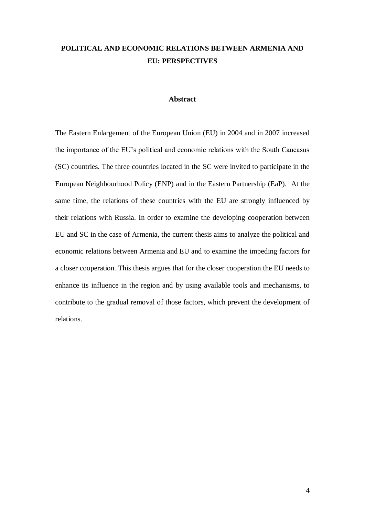## **POLITICAL AND ECONOMIC RELATIONS BETWEEN ARMENIA AND EU: PERSPECTIVES**

#### **Abstract**

The Eastern Enlargement of the European Union (EU) in 2004 and in 2007 increased the importance of the EU"s political and economic relations with the South Caucasus (SC) countries. The three countries located in the SC were invited to participate in the European Neighbourhood Policy (ENP) and in the Eastern Partnership (EaP). At the same time, the relations of these countries with the EU are strongly influenced by their relations with Russia. In order to examine the developing cooperation between EU and SC in the case of Armenia, the current thesis aims to analyze the political and economic relations between Armenia and EU and to examine the impeding factors for a closer cooperation. This thesis argues that for the closer cooperation the EU needs to enhance its influence in the region and by using available tools and mechanisms, to contribute to the gradual removal of those factors, which prevent the development of relations.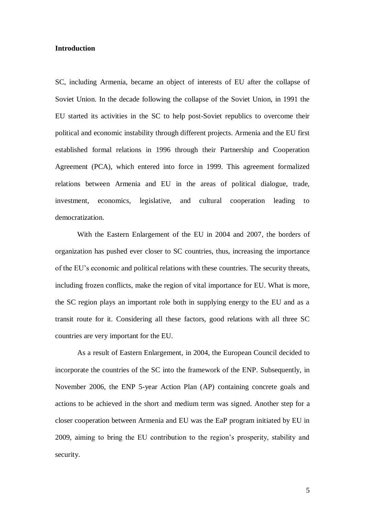#### **Introduction**

SC, including Armenia, became an object of interests of EU after the collapse of Soviet Union. In the decade following the collapse of the Soviet Union, in 1991 the EU started its activities in the SC to help post-Soviet republics to overcome their political and economic instability through different projects. Armenia and the EU first established formal relations in 1996 through their Partnership and Cooperation Agreement (PCA), which entered into force in 1999. This agreement formalized relations between Armenia and EU in the areas of political dialogue, trade, investment, economics, legislative, and cultural cooperation leading to democratization.

With the Eastern Enlargement of the EU in 2004 and 2007, the borders of organization has pushed ever closer to SC countries, thus, increasing the importance of the EU"s economic and political relations with these countries. The security threats, including frozen conflicts, make the region of vital importance for EU. What is more, the SC region plays an important role both in supplying energy to the EU and as a transit route for it. Considering all these factors, good relations with all three SC countries are very important for the EU.

As a result of Eastern Enlargement, in 2004, the European Council decided to incorporate the countries of the SC into the framework of the ENP. Subsequently, in November 2006, the ENP 5-year Action Plan (AP) containing concrete goals and actions to be achieved in the short and medium term was signed. Another step for a closer cooperation between Armenia and EU was the EaP program initiated by EU in 2009, aiming to bring the EU contribution to the region"s prosperity, stability and security.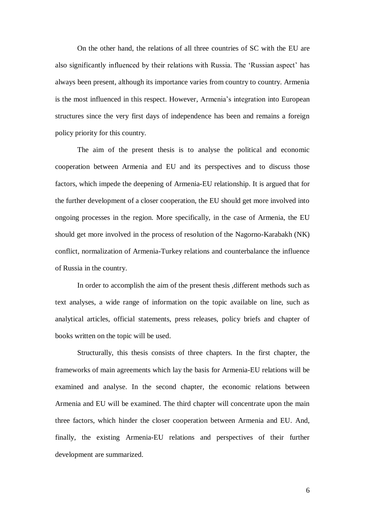On the other hand, the relations of all three countries of SC with the EU are also significantly influenced by their relations with Russia. The "Russian aspect" has always been present, although its importance varies from country to country. Armenia is the most influenced in this respect. However, Armenia's integration into European structures since the very first days of independence has been and remains a foreign policy priority for this country.

The aim of the present thesis is to analyse the political and economic cooperation between Armenia and EU and its perspectives and to discuss those factors, which impede the deepening of Armenia-EU relationship. It is argued that for the further development of a closer cooperation, the EU should get more involved into ongoing processes in the region. More specifically, in the case of Armenia, the EU should get more involved in the process of resolution of the Nagorno-Karabakh (NK) conflict, normalization of Armenia-Turkey relations and counterbalance the influence of Russia in the country.

In order to accomplish the aim of the present thesis ,different methods such as text analyses, a wide range of information on the topic available on line, such as analytical articles, official statements, press releases, policy briefs and chapter of books written on the topic will be used.

Structurally, this thesis consists of three chapters. In the first chapter, the frameworks of main agreements which lay the basis for Armenia-EU relations will be examined and analyse. In the second chapter, the economic relations between Armenia and EU will be examined. The third chapter will concentrate upon the main three factors, which hinder the closer cooperation between Armenia and EU. And, finally, the existing Armenia-EU relations and perspectives of their further development are summarized.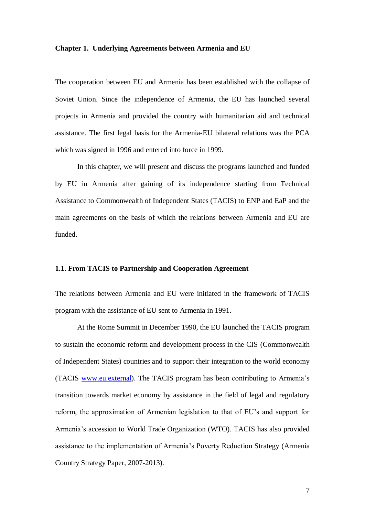#### **Chapter 1. Underlying Agreements between Armenia and EU**

The cooperation between EU and Armenia has been established with the collapse of Soviet Union. Since the independence of Armenia, the EU has launched several projects in Armenia and provided the country with humanitarian aid and technical assistance. The first legal basis for the Armenia-EU bilateral relations was the PCA which was signed in 1996 and entered into force in 1999.

In this chapter, we will present and discuss the programs launched and funded by EU in Armenia after gaining of its independence starting from Technical Assistance to Commonwealth of Independent States (TACIS) to ENP and EaP and the main agreements on the basis of which the relations between Armenia and EU are funded.

#### **1.1. From TACIS to Partnership and Cooperation Agreement**

The relations between Armenia and EU were initiated in the framework of TACIS program with the assistance of EU sent to Armenia in 1991.

At the Rome Summit in December 1990, the EU launched the TACIS program to sustain the economic reform and development process in the CIS (Commonwealth of Independent States) countries and to support their integration to the world economy (TACIS [www.eu.external\)](http://www.eu.external/). The TACIS program has been contributing to Armenia"s transition towards market economy by assistance in the field of legal and regulatory reform, the approximation of Armenian legislation to that of EU"s and support for Armenia"s accession to World Trade Organization (WTO). TACIS has also provided assistance to the implementation of Armenia"s Poverty Reduction Strategy (Armenia Country Strategy Paper, 2007-2013).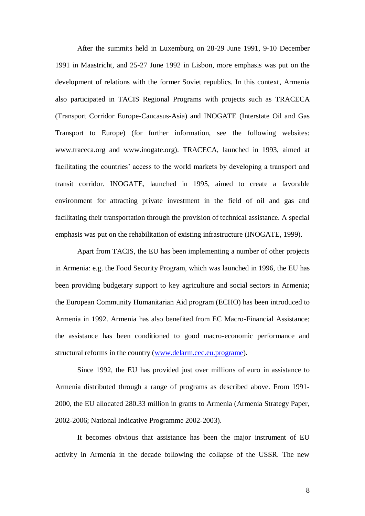After the summits held in Luxemburg on 28-29 June 1991, 9-10 December 1991 in Maastricht, and 25-27 June 1992 in Lisbon, more emphasis was put on the development of relations with the former Soviet republics. In this context, Armenia also participated in TACIS Regional Programs with projects such as TRACECA (Transport Corridor Europe-Caucasus-Asia) and INOGATE (Interstate Oil and Gas Transport to Europe) (for further information, see the following websites: www.traceca.org and www.inogate.org). TRACECA, launched in 1993, aimed at facilitating the countries' access to the world markets by developing a transport and transit corridor. INOGATE, launched in 1995, aimed to create a favorable environment for attracting private investment in the field of oil and gas and facilitating their transportation through the provision of technical assistance. A special emphasis was put on the rehabilitation of existing infrastructure (INOGATE, 1999).

Apart from TACIS, the EU has been implementing a number of other projects in Armenia: e.g. the Food Security Program, which was launched in 1996, the EU has been providing budgetary support to key agriculture and social sectors in Armenia; the European Community Humanitarian Aid program (ECHO) has been introduced to Armenia in 1992. Armenia has also benefited from EC Macro-Financial Assistance; the assistance has been conditioned to good macro-economic performance and structural reforms in the country [\(www.delarm.cec.eu.programe\)](http://www.delarm.cec.eu.programe/).

Since 1992, the EU has provided just over millions of euro in assistance to Armenia distributed through a range of programs as described above. From 1991- 2000, the EU allocated 280.33 million in grants to Armenia (Armenia Strategy Paper, 2002-2006; National Indicative Programme 2002-2003).

It becomes obvious that assistance has been the major instrument of EU activity in Armenia in the decade following the collapse of the USSR. The new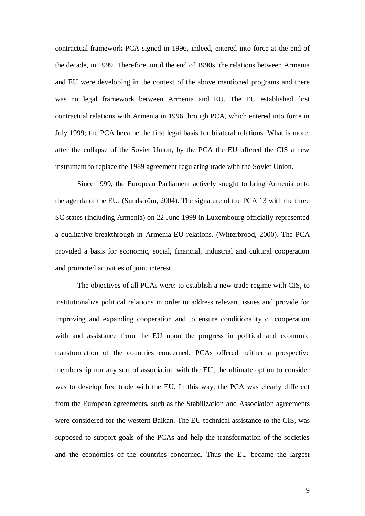contractual framework PCA signed in 1996, indeed, entered into force at the end of the decade, in 1999. Therefore, until the end of 1990s, the relations between Armenia and EU were developing in the context of the above mentioned programs and there was no legal framework between Armenia and EU. The EU established first contractual relations with Armenia in 1996 through PCA, which entered into force in July 1999; the PCA became the first legal basis for bilateral relations. What is more, after the collapse of the Soviet Union, by the PCA the EU offered the CIS a new instrument to replace the 1989 agreement regulating trade with the Soviet Union.

Since 1999, the European Parliament actively sought to bring Armenia onto the agenda of the EU. (Sundström, 2004). The signature of the PCA 13 with the three SC states (including Armenia) on 22 June 1999 in Luxembourg officially represented a qualitative breakthrough in Armenia-EU relations. (Witterbrood, 2000). The PCA provided a basis for economic, social, financial, industrial and cultural cooperation and promoted activities of joint interest.

The objectives of all PCAs were: to establish a new trade regime with CIS, to institutionalize political relations in order to address relevant issues and provide for improving and expanding cooperation and to ensure conditionality of cooperation with and assistance from the EU upon the progress in political and economic transformation of the countries concerned. PCAs offered neither a prospective membership nor any sort of association with the EU; the ultimate option to consider was to develop free trade with the EU. In this way, the PCA was clearly different from the European agreements, such as the Stabilization and Association agreements were considered for the western Balkan. The EU technical assistance to the CIS, was supposed to support goals of the PCAs and help the transformation of the societies and the economies of the countries concerned. Thus the EU became the largest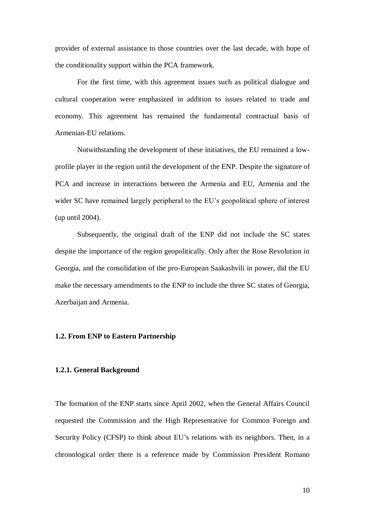provider of external assistance to those countries over the last decade, with hope of the conditionality support within the PCA framework.

For the first time, with this agreement issues such as political dialogue and cultural cooperation were emphasized in addition to issues related to trade and economy. This agreement has remained the fundamental contractual basis of Armenian-EU relations.

Notwithstanding the development of these initiatives, the EU remained a lowprofile player in the region until the development of the ENP. Despite the signature of PCA and increase in interactions between the Armenia and EU, Armenia and the wider SC have remained largely peripheral to the EU's geopolitical sphere of interest (up until 2004).

Subsequently, the original draft of the ENP did not include the SC states despite the importance of the region geopolitically. Only after the Rose Revolution in Georgia, and the consolidation of the pro-European Saakashvili in power, did the EU make the necessary amendments to the ENP to include the three SC states of Georgia, Azerbaijan and Armenia.

#### **1.2. From ENP to Eastern Partnership**

#### **1.2.1. General Background**

The formation of the ENP starts since April 2002, when the General Affairs Council requested the Commission and the High Representative for Common Foreign and Security Policy (CFSP) to think about EU's relations with its neighbors. Then, in a chronological order there is a reference made by Commission President Romano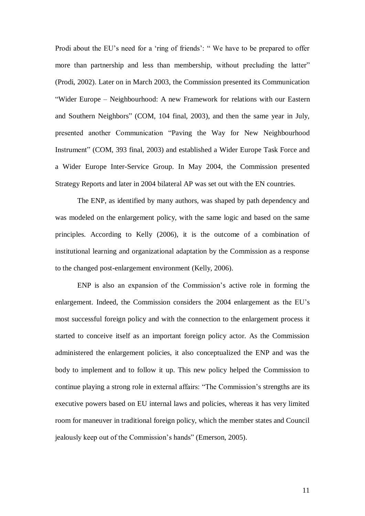Prodi about the EU's need for a 'ring of friends': "We have to be prepared to offer more than partnership and less than membership, without precluding the latter" (Prodi, 2002). Later on in March 2003, the Commission presented its Communication "Wider Europe – Neighbourhood: A new Framework for relations with our Eastern and Southern Neighbors" (COM, 104 final, 2003), and then the same year in July, presented another Communication "Paving the Way for New Neighbourhood Instrument" (COM, 393 final, 2003) and established a Wider Europe Task Force and a Wider Europe Inter-Service Group. In May 2004, the Commission presented Strategy Reports and later in 2004 bilateral AP was set out with the EN countries.

The ENP, as identified by many authors, was shaped by path dependency and was modeled on the enlargement policy, with the same logic and based on the same principles. According to Kelly (2006), it is the outcome of a combination of institutional learning and organizational adaptation by the Commission as a response to the changed post-enlargement environment (Kelly, 2006).

ENP is also an expansion of the Commission"s active role in forming the enlargement. Indeed, the Commission considers the 2004 enlargement as the EU"s most successful foreign policy and with the connection to the enlargement process it started to conceive itself as an important foreign policy actor. As the Commission administered the enlargement policies, it also conceptualized the ENP and was the body to implement and to follow it up. This new policy helped the Commission to continue playing a strong role in external affairs: "The Commission"s strengths are its executive powers based on EU internal laws and policies, whereas it has very limited room for maneuver in traditional foreign policy, which the member states and Council jealously keep out of the Commission"s hands" (Emerson, 2005).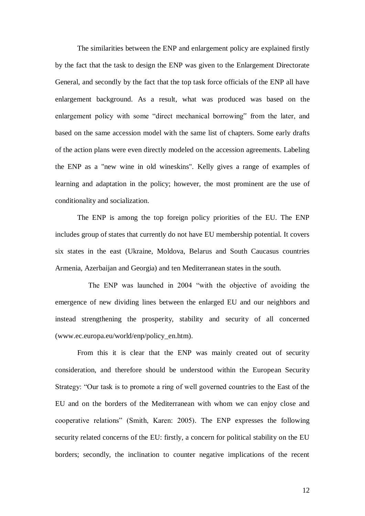The similarities between the ENP and enlargement policy are explained firstly by the fact that the task to design the ENP was given to the Enlargement Directorate General, and secondly by the fact that the top task force officials of the ENP all have enlargement background. As a result, what was produced was based on the enlargement policy with some "direct mechanical borrowing" from the later, and based on the same accession model with the same list of chapters. Some early drafts of the action plans were even directly modeled on the accession agreements. Labeling the ENP as a "new wine in old wineskins". Kelly gives a range of examples of learning and adaptation in the policy; however, the most prominent are the use of conditionality and socialization.

The ENP is among the top foreign policy priorities of the EU. The ENP includes group of states that currently do not have EU membership potential. It covers six states in the east (Ukraine, Moldova, Belarus and South Caucasus countries Armenia, Azerbaijan and Georgia) and ten Mediterranean states in the south.

The ENP was launched in 2004 "with the objective of avoiding the emergence of new dividing lines between the enlarged EU and our neighbors and instead strengthening the prosperity, stability and security of all concerned (www.ec.europa.eu/world/enp/policy\_en.htm).

From this it is clear that the ENP was mainly created out of security consideration, and therefore should be understood within the European Security Strategy: "Our task is to promote a ring of well governed countries to the East of the EU and on the borders of the Mediterranean with whom we can enjoy close and cooperative relations" (Smith, Karen: 2005). The ENP expresses the following security related concerns of the EU: firstly, a concern for political stability on the EU borders; secondly, the inclination to counter negative implications of the recent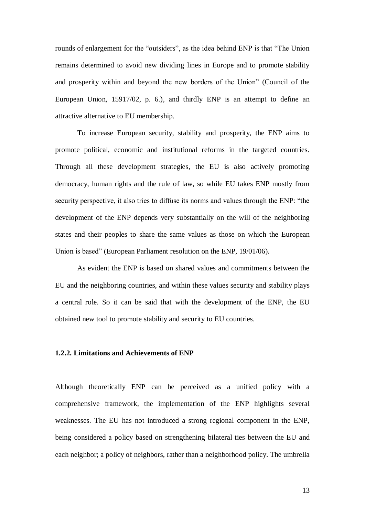rounds of enlargement for the "outsiders", as the idea behind ENP is that "The Union remains determined to avoid new dividing lines in Europe and to promote stability and prosperity within and beyond the new borders of the Union" (Council of the European Union, 15917/02, p. 6.), and thirdly ENP is an attempt to define an attractive alternative to EU membership.

To increase European security, stability and prosperity, the ENP aims to promote political, economic and institutional reforms in the targeted countries. Through all these development strategies, the EU is also actively promoting democracy, human rights and the rule of law, so while EU takes ENP mostly from security perspective, it also tries to diffuse its norms and values through the ENP: "the development of the ENP depends very substantially on the will of the neighboring states and their peoples to share the same values as those on which the European Union is based" (European Parliament resolution on the ENP, 19/01/06).

As evident the ENP is based on shared values and commitments between the EU and the neighboring countries, and within these values security and stability plays a central role. So it can be said that with the development of the ENP, the EU obtained new tool to promote stability and security to EU countries.

#### **1.2.2. Limitations and Achievements of ENP**

Although theoretically ENP can be perceived as a unified policy with a comprehensive framework, the implementation of the ENP highlights several weaknesses. The EU has not introduced a strong regional component in the ENP, being considered a policy based on strengthening bilateral ties between the EU and each neighbor; a policy of neighbors, rather than a neighborhood policy. The umbrella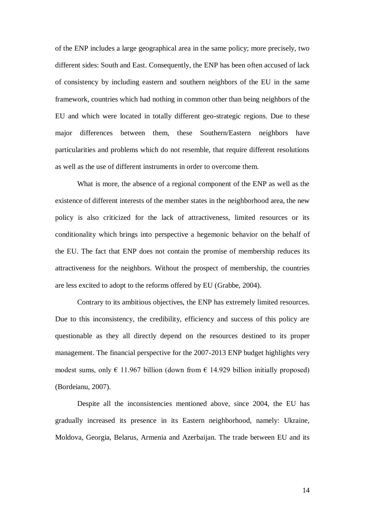of the ENP includes a large geographical area in the same policy; more precisely, two different sides: South and East. Consequently, the ENP has been often accused of lack of consistency by including eastern and southern neighbors of the EU in the same framework, countries which had nothing in common other than being neighbors of the EU and which were located in totally different geo-strategic regions. Due to these major differences between them, these Southern/Eastern neighbors have particularities and problems which do not resemble, that require different resolutions as well as the use of different instruments in order to overcome them.

What is more, the absence of a regional component of the ENP as well as the existence of different interests of the member states in the neighborhood area, the new policy is also criticized for the lack of attractiveness, limited resources or its conditionality which brings into perspective a hegemonic behavior on the behalf of the EU. The fact that ENP does not contain the promise of membership reduces its attractiveness for the neighbors. Without the prospect of membership, the countries are less excited to adopt to the reforms offered by EU (Grabbe, 2004).

Contrary to its ambitious objectives, the ENP has extremely limited resources. Due to this inconsistency, the credibility, efficiency and success of this policy are questionable as they all directly depend on the resources destined to its proper management. The financial perspective for the 2007-2013 ENP budget highlights very modest sums, only  $\epsilon$  11.967 billion (down from  $\epsilon$  14.929 billion initially proposed) (Bordeianu, 2007).

Despite all the inconsistencies mentioned above, since 2004, the EU has gradually increased its presence in its Eastern neighborhood, namely: Ukraine, Moldova, Georgia, Belarus, Armenia and Azerbaijan. The trade between EU and its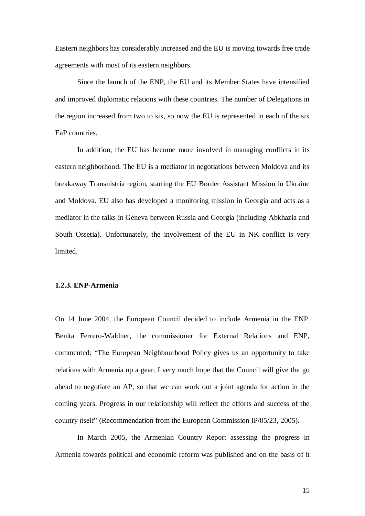Eastern neighbors has considerably increased and the EU is moving towards free trade agreements with most of its eastern neighbors.

Since the launch of the ENP, the EU and its Member States have intensified and improved diplomatic relations with these countries. The number of Delegations in the region increased from two to six, so now the EU is represented in each of the six EaP countries.

In addition, the EU has become more involved in managing conflicts in its eastern neighborhood. The EU is a mediator in negotiations between Moldova and its breakaway Transnistria region, starting the EU Border Assistant Mission in Ukraine and Moldova. EU also has developed a monitoring mission in Georgia and acts as a mediator in the talks in Geneva between Russia and Georgia (including Abkhazia and South Ossetia). Unfortunately, the involvement of the EU in NK conflict is very limited.

#### **1.2.3. ENP-Armenia**

On 14 June 2004, the European Council decided to include Armenia in the ENP. Benita Ferrero-Waldner, the commissioner for External Relations and ENP, commented: "The European Neighbourhood Policy gives us an opportunity to take relations with Armenia up a gear. I very much hope that the Council will give the go ahead to negotiate an AP, so that we can work out a joint agenda for action in the coming years. Progress in our relationship will reflect the efforts and success of the country itself" (Recommendation from the European Commission IP/05/23, 2005).

In March 2005, the Armenian Country Report assessing the progress in Armenia towards political and economic reform was published and on the basis of it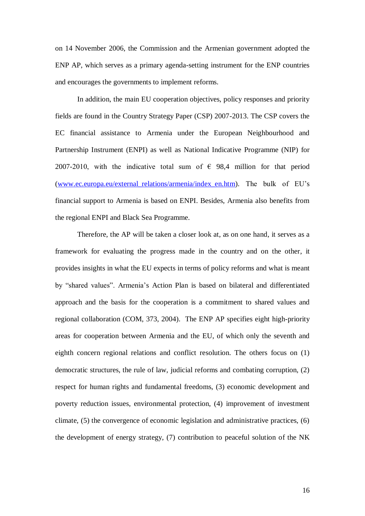on 14 November 2006, the Commission and the Armenian government adopted the ENP AP, which serves as a primary agenda-setting instrument for the ENP countries and encourages the governments to implement reforms.

In addition, the main EU cooperation objectives, policy responses and priority fields are found in the Country Strategy Paper (CSP) 2007-2013. The CSP covers the EC financial assistance to Armenia under the European Neighbourhood and Partnership Instrument (ENPI) as well as National Indicative Programme (NIP) for 2007-2010, with the indicative total sum of  $\epsilon$  98,4 million for that period [\(www.ec.europa.eu/external\\_relations/armenia/index\\_en.htm\)](http://www.ec.europa.eu/external_relations/armenia/index_en.htm). The bulk of EU"s financial support to Armenia is based on ENPI. Besides, Armenia also benefits from the regional ENPI and Black Sea Programme.

Therefore, the AP will be taken a closer look at, as on one hand, it serves as a framework for evaluating the progress made in the country and on the other, it provides insights in what the EU expects in terms of policy reforms and what is meant by "shared values". Armenia"s Action Plan is based on bilateral and differentiated approach and the basis for the cooperation is a commitment to shared values and regional collaboration (COM, 373, 2004). The ENP AP specifies eight high-priority areas for cooperation between Armenia and the EU, of which only the seventh and eighth concern regional relations and conflict resolution. The others focus on (1) democratic structures, the rule of law, judicial reforms and combating corruption, (2) respect for human rights and fundamental freedoms, (3) economic development and poverty reduction issues, environmental protection, (4) improvement of investment climate, (5) the convergence of economic legislation and administrative practices, (6) the development of energy strategy, (7) contribution to peaceful solution of the NK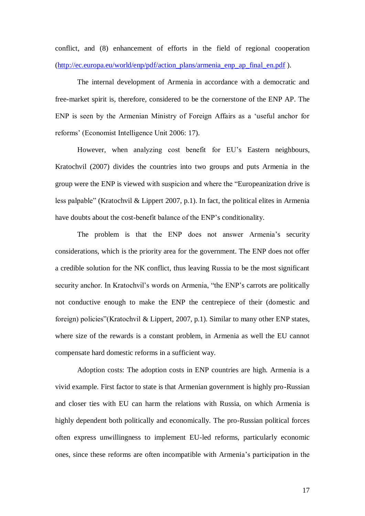conflict, and (8) enhancement of efforts in the field of regional cooperation [\(http://ec.europa.eu/world/enp/pdf/action\\_plans/armenia\\_enp\\_ap\\_final\\_en.pdf](http://ec.europa.eu/world/enp/pdf/action_plans/armenia_enp_ap_final_en.pdf) ).

The internal development of Armenia in accordance with a democratic and free-market spirit is, therefore, considered to be the cornerstone of the ENP AP. The ENP is seen by the Armenian Ministry of Foreign Affairs as a "useful anchor for reforms" (Economist Intelligence Unit 2006: 17).

However, when analyzing cost benefit for EU's Eastern neighbours, Kratochvil (2007) divides the countries into two groups and puts Armenia in the group were the ENP is viewed with suspicion and where the "Europeanization drive is less palpable" (Kratochvil & Lippert 2007, p.1). In fact, the political elites in Armenia have doubts about the cost-benefit balance of the ENP"s conditionality.

The problem is that the ENP does not answer Armenia's security considerations, which is the priority area for the government. The ENP does not offer a credible solution for the NK conflict, thus leaving Russia to be the most significant security anchor. In Kratochvil's words on Armenia, "the ENP's carrots are politically not conductive enough to make the ENP the centrepiece of their (domestic and foreign) policies"(Kratochvil & Lippert, 2007, p.1). Similar to many other ENP states, where size of the rewards is a constant problem, in Armenia as well the EU cannot compensate hard domestic reforms in a sufficient way.

Adoption costs: The adoption costs in ENP countries are high. Armenia is a vivid example. First factor to state is that Armenian government is highly pro-Russian and closer ties with EU can harm the relations with Russia, on which Armenia is highly dependent both politically and economically. The pro-Russian political forces often express unwillingness to implement EU-led reforms, particularly economic ones, since these reforms are often incompatible with Armenia"s participation in the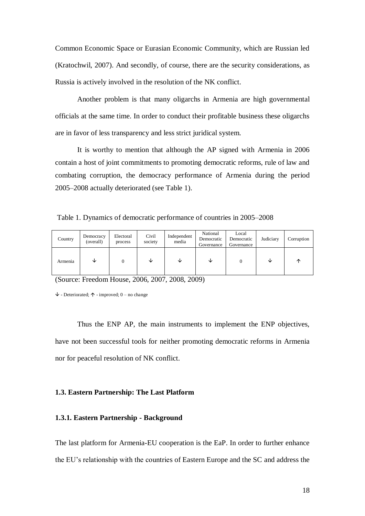Common Economic Space or Eurasian Economic Community, which are Russian led (Kratochwil, 2007). And secondly, of course, there are the security considerations, as Russia is actively involved in the resolution of the NK conflict.

Another problem is that many oligarchs in Armenia are high governmental officials at the same time. In order to conduct their profitable business these oligarchs are in favor of less transparency and less strict juridical system.

It is worthy to mention that although the AP signed with Armenia in 2006 contain a host of joint commitments to promoting democratic reforms, rule of law and combating corruption, the democracy performance of Armenia during the period 2005–2008 actually deteriorated (see Table 1).

Table 1. Dynamics of democratic performance of countries in 2005–2008

| Country | Democracy<br>(overall) | Electoral<br>process | Civil<br>society | Independent<br>media | National<br>Democratic<br>Governance | Local<br>Democratic<br>Governance | Judiciary | Corruption |
|---------|------------------------|----------------------|------------------|----------------------|--------------------------------------|-----------------------------------|-----------|------------|
| Armenia | ◡                      | 0                    | ◡                | ◡                    | ◡                                    |                                   | ◡         | ́          |

(Source: Freedom House, 2006, 2007, 2008, 2009)

 $\psi$  - Deteriorated;  $\uparrow$  - improved; 0 – no change

Thus the ENP AP, the main instruments to implement the ENP objectives, have not been successful tools for neither promoting democratic reforms in Armenia nor for peaceful resolution of NK conflict.

#### **1.3. Eastern Partnership: The Last Platform**

#### **1.3.1. Eastern Partnership - Background**

The last platform for Armenia-EU cooperation is the EaP. In order to further enhance the EU"s relationship with the countries of Eastern Europe and the SC and address the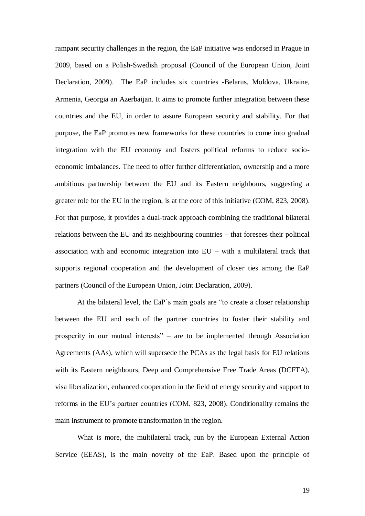rampant security challenges in the region, the EaP initiative was endorsed in Prague in 2009, based on a Polish-Swedish proposal (Council of the European Union, Joint Declaration, 2009). The EaP includes six countries -Belarus, Moldova, Ukraine, Armenia, Georgia an Azerbaijan. It aims to promote further integration between these countries and the EU, in order to assure European security and stability. For that purpose, the EaP promotes new frameworks for these countries to come into gradual integration with the EU economy and fosters political reforms to reduce socioeconomic imbalances. The need to offer further differentiation, ownership and a more ambitious partnership between the EU and its Eastern neighbours, suggesting a greater role for the EU in the region, is at the core of this initiative (COM, 823, 2008). For that purpose, it provides a dual-track approach combining the traditional bilateral relations between the EU and its neighbouring countries – that foresees their political association with and economic integration into EU – with a multilateral track that supports regional cooperation and the development of closer ties among the EaP partners (Council of the European Union, Joint Declaration, 2009).

At the bilateral level, the EaP"s main goals are "to create a closer relationship between the EU and each of the partner countries to foster their stability and prosperity in our mutual interests" – are to be implemented through Association Agreements (AAs), which will supersede the PCAs as the legal basis for EU relations with its Eastern neighbours, Deep and Comprehensive Free Trade Areas (DCFTA), visa liberalization, enhanced cooperation in the field of energy security and support to reforms in the EU"s partner countries (COM, 823, 2008). Conditionality remains the main instrument to promote transformation in the region.

What is more, the multilateral track, run by the European External Action Service (EEAS), is the main novelty of the EaP. Based upon the principle of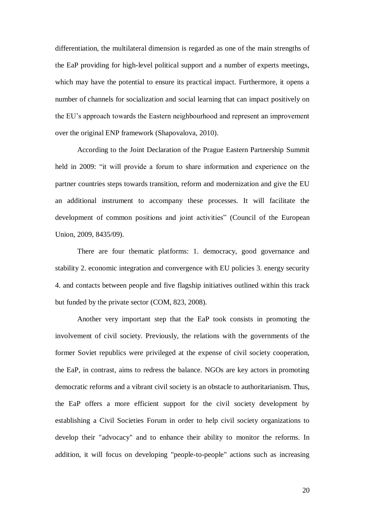differentiation, the multilateral dimension is regarded as one of the main strengths of the EaP providing for high-level political support and a number of experts meetings, which may have the potential to ensure its practical impact. Furthermore, it opens a number of channels for socialization and social learning that can impact positively on the EU"s approach towards the Eastern neighbourhood and represent an improvement over the original ENP framework (Shapovalova, 2010).

According to the Joint Declaration of the Prague Eastern Partnership Summit held in 2009: "it will provide a forum to share information and experience on the partner countries steps towards transition, reform and modernization and give the EU an additional instrument to accompany these processes. It will facilitate the development of common positions and joint activities" (Council of the European Union, 2009, 8435/09).

There are four thematic platforms: 1. democracy, good governance and stability 2. economic integration and convergence with EU policies 3. energy security 4. and contacts between people and five flagship initiatives outlined within this track but funded by the private sector (COM, 823, 2008).

Another very important step that the EaP took consists in promoting the involvement of civil society. Previously, the relations with the governments of the former Soviet republics were privileged at the expense of civil society cooperation, the EaP, in contrast, aims to redress the balance. NGOs are key actors in promoting democratic reforms and a vibrant civil society is an obstacle to authoritarianism. Thus, the EaP offers a more efficient support for the civil society development by establishing a Civil Societies Forum in order to help civil society organizations to develop their "advocacy" and to enhance their ability to monitor the reforms. In addition, it will focus on developing "people-to-people" actions such as increasing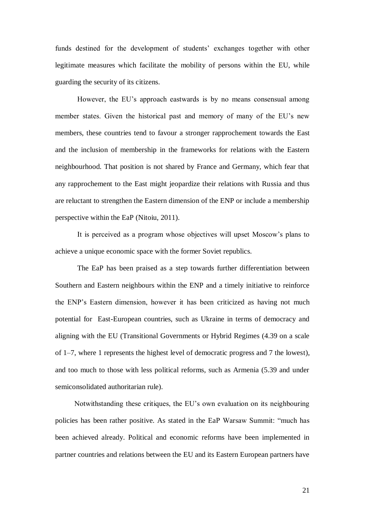funds destined for the development of students' exchanges together with other legitimate measures which facilitate the mobility of persons within the EU, while guarding the security of its citizens.

However, the EU's approach eastwards is by no means consensual among member states. Given the historical past and memory of many of the EU"s new members, these countries tend to favour a stronger rapprochement towards the East and the inclusion of membership in the frameworks for relations with the Eastern neighbourhood. That position is not shared by France and Germany, which fear that any rapprochement to the East might jeopardize their relations with Russia and thus are reluctant to strengthen the Eastern dimension of the ENP or include a membership perspective within the EaP (Nitoiu, 2011).

It is perceived as a program whose objectives will upset Moscow"s plans to achieve a unique economic space with the former Soviet republics.

The EaP has been praised as a step towards further differentiation between Southern and Eastern neighbours within the ENP and a timely initiative to reinforce the ENP"s Eastern dimension, however it has been criticized as having not much potential for East-European countries, such as Ukraine in terms of democracy and aligning with the EU (Transitional Governments or Hybrid Regimes (4.39 on a scale of 1–7, where 1 represents the highest level of democratic progress and 7 the lowest), and too much to those with less political reforms, such as Armenia (5.39 and under semiconsolidated authoritarian rule).

Notwithstanding these critiques, the EU"s own evaluation on its neighbouring policies has been rather positive. As stated in the EaP Warsaw Summit: "much has been achieved already. Political and economic reforms have been implemented in partner countries and relations between the EU and its Eastern European partners have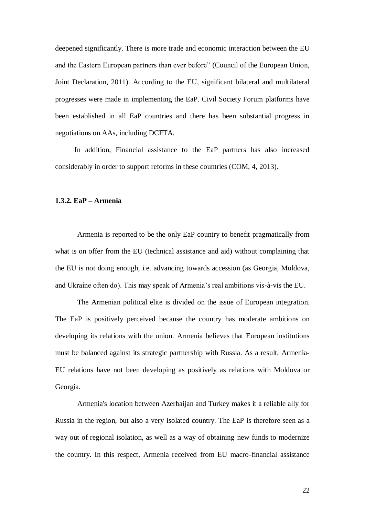deepened significantly. There is more trade and economic interaction between the EU and the Eastern European partners than ever before" (Council of the European Union, Joint Declaration, 2011). According to the EU, significant bilateral and multilateral progresses were made in implementing the EaP. Civil Society Forum platforms have been established in all EaP countries and there has been substantial progress in negotiations on AAs, including DCFTA.

In addition, Financial assistance to the EaP partners has also increased considerably in order to support reforms in these countries (COM, 4, 2013).

#### **1.3.2. EaP – Armenia**

Armenia is reported to be the only EaP country to benefit pragmatically from what is on offer from the EU (technical assistance and aid) without complaining that the EU is not doing enough, i.e. advancing towards accession (as Georgia, Moldova, and Ukraine often do). This may speak of Armenia"s real ambitions vis-à-vis the EU.

The Armenian political elite is divided on the issue of European integration. The EaP is positively perceived because the country has moderate ambitions on developing its relations with the union. Armenia believes that European institutions must be balanced against its strategic partnership with Russia. As a result, Armenia-EU relations have not been developing as positively as relations with Moldova or Georgia.

Armenia's location between Azerbaijan and Turkey makes it a reliable ally for Russia in the region, but also a very isolated country. The EaP is therefore seen as a way out of regional isolation, as well as a way of obtaining new funds to modernize the country. In this respect, Armenia received from EU macro-financial assistance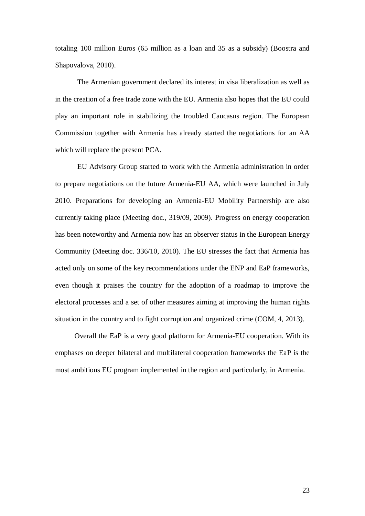totaling 100 million Euros (65 million as a loan and 35 as a subsidy) (Boostra and Shapovalova, 2010).

The Armenian government declared its interest in visa liberalization as well as in the creation of a free trade zone with the EU. Armenia also hopes that the EU could play an important role in stabilizing the troubled Caucasus region. The European Commission together with Armenia has already started the negotiations for an AA which will replace the present PCA.

EU Advisory Group started to work with the Armenia administration in order to prepare negotiations on the future Armenia-EU AA, which were launched in July 2010. Preparations for developing an Armenia-EU Mobility Partnership are also currently taking place (Meeting doc., 319/09, 2009). Progress on energy cooperation has been noteworthy and Armenia now has an observer status in the European Energy Community (Meeting doc. 336/10, 2010). The EU stresses the fact that Armenia has acted only on some of the key recommendations under the ENP and EaP frameworks, even though it praises the country for the adoption of a roadmap to improve the electoral processes and a set of other measures aiming at improving the human rights situation in the country and to fight corruption and organized crime (COM, 4, 2013).

Overall the EaP is a very good platform for Armenia-EU cooperation. With its emphases on deeper bilateral and multilateral cooperation frameworks the EaP is the most ambitious EU program implemented in the region and particularly, in Armenia.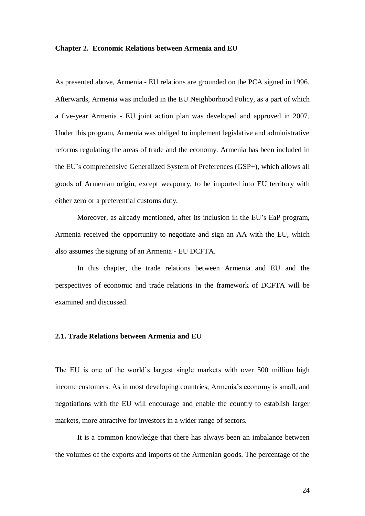#### **Chapter 2. Economic Relations between Armenia and EU**

As presented above, Armenia - EU relations are grounded on the PCA signed in 1996. Afterwards, Armenia was included in the EU Neighborhood Policy, as a part of which a five-year Armenia - EU joint action plan was developed and approved in 2007. Under this program, Armenia was obliged to implement legislative and administrative reforms regulating the areas of trade and the economy. Armenia has been included in the EU"s comprehensive Generalized System of Preferences (GSP+), which allows all goods of Armenian origin, except weaponry, to be imported into EU territory with either zero or a preferential customs duty.

Moreover, as already mentioned, after its inclusion in the EU"s EaP program, Armenia received the opportunity to negotiate and sign an AA with the EU, which also assumes the signing of an Armenia - EU DCFTA.

In this chapter, the trade relations between Armenia and EU and the perspectives of economic and trade relations in the framework of DCFTA will be examined and discussed.

#### **2.1. Trade Relations between Armenia and EU**

The EU is one of the world"s largest single markets with over 500 million high income customers. As in most developing countries, Armenia's economy is small, and negotiations with the EU will encourage and enable the country to establish larger markets, more attractive for investors in a wider range of sectors.

It is a common knowledge that there has always been an imbalance between the volumes of the exports and imports of the Armenian goods. The percentage of the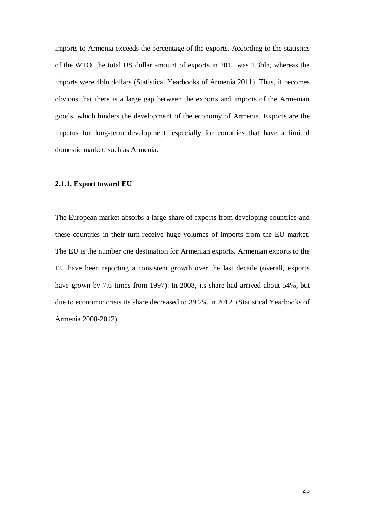imports to Armenia exceeds the percentage of the exports. According to the statistics of the WTO, the total US dollar amount of exports in 2011 was 1.3bln, whereas the imports were 4bln dollars (Statistical Yearbooks of Armenia 2011). Thus, it becomes obvious that there is a large gap between the exports and imports of the Armenian goods, which hinders the development of the economy of Armenia. Exports are the impetus for long-term development, especially for countries that have a limited domestic market, such as Armenia.

#### **2.1.1. Export toward EU**

The European market absorbs a large share of exports from developing countries and these countries in their turn receive huge volumes of imports from the EU market. The EU is the number one destination for Armenian exports. Armenian exports to the EU have been reporting a consistent growth over the last decade (overall, exports have grown by 7.6 times from 1997). In 2008, its share had arrived about 54%, but due to economic crisis its share decreased to 39.2% in 2012. (Statistical Yearbooks of Armenia 2008-2012).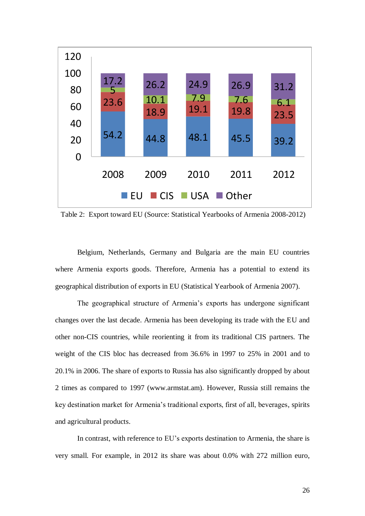

Table 2: Export toward EU (Source: Statistical Yearbooks of Armenia 2008-2012)

Belgium, Netherlands, Germany and Bulgaria are the main EU countries where Armenia exports goods. Therefore, Armenia has a potential to extend its geographical distribution of exports in EU (Statistical Yearbook of Armenia 2007).

The geographical structure of Armenia"s exports has undergone significant changes over the last decade. Armenia has been developing its trade with the EU and other non-CIS countries, while reorienting it from its traditional CIS partners. The weight of the CIS bloc has decreased from 36.6% in 1997 to 25% in 2001 and to 20.1% in 2006. The share of exports to Russia has also significantly dropped by about 2 times as compared to 1997 (www.armstat.am). However, Russia still remains the key destination market for Armenia"s traditional exports, first of all, beverages, spirits and agricultural products.

In contrast, with reference to EU's exports destination to Armenia, the share is very small. For example, in 2012 its share was about 0.0% with 272 million euro,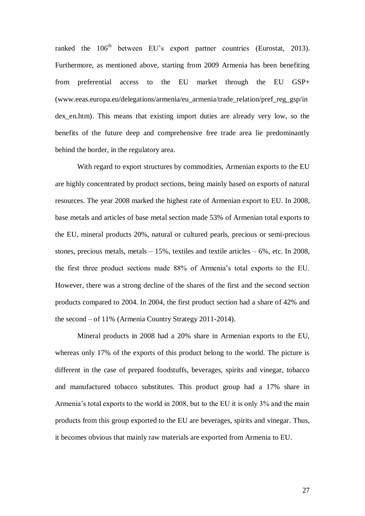ranked the 106<sup>th</sup> between EU's export partner countries (Eurostat, 2013). Furthermore, as mentioned above, starting from 2009 Armenia has been benefiting from preferential access to the EU market through the EU GSP+ (www.eeas.europa.eu/delegations/armenia/eu\_armenia/trade\_relation/pref\_reg\_gsp/in dex\_en.htm). This means that existing import duties are already very low, so the benefits of the future deep and comprehensive free trade area lie predominantly behind the border, in the regulatory area.

With regard to export structures by commodities, Armenian exports to the EU are highly concentrated by product sections, being mainly based on exports of natural resources. The year 2008 marked the highest rate of Armenian export to EU. In 2008, base metals and articles of base metal section made 53% of Armenian total exports to the EU, mineral products 20%, natural or cultured pearls, precious or semi-precious stones, precious metals, metals  $-15%$ , textiles and textile articles  $-6%$ , etc. In 2008, the first three product sections made 88% of Armenia"s total exports to the EU. However, there was a strong decline of the shares of the first and the second section products compared to 2004. In 2004, the first product section had a share of 42% and the second – of 11% (Armenia Country Strategy 2011-2014).

Mineral products in 2008 had a 20% share in Armenian exports to the EU, whereas only 17% of the exports of this product belong to the world. The picture is different in the case of prepared foodstuffs, beverages, spirits and vinegar, tobacco and manufactured tobacco substitutes. This product group had a 17% share in Armenia's total exports to the world in 2008, but to the EU it is only 3% and the main products from this group exported to the EU are beverages, spirits and vinegar. Thus, it becomes obvious that mainly raw materials are exported from Armenia to EU.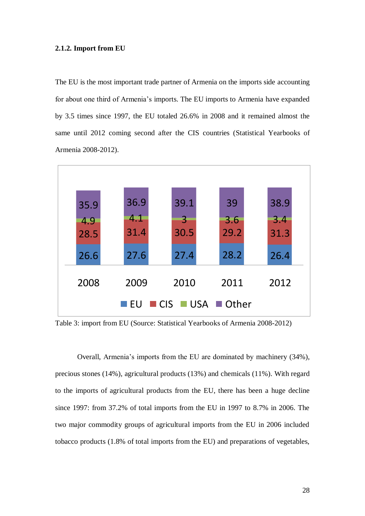#### **2.1.2. Import from EU**

The EU is the most important trade partner of Armenia on the imports side accounting for about one third of Armenia"s imports. The EU imports to Armenia have expanded by 3.5 times since 1997, the EU totaled 26.6% in 2008 and it remained almost the same until 2012 coming second after the CIS countries (Statistical Yearbooks of Armenia 2008-2012).



Table 3: import from EU (Source: Statistical Yearbooks of Armenia 2008-2012)

Overall, Armenia's imports from the EU are dominated by machinery (34%), precious stones (14%), agricultural products (13%) and chemicals (11%). With regard to the imports of agricultural products from the EU, there has been a huge decline since 1997: from 37.2% of total imports from the EU in 1997 to 8.7% in 2006. The two major commodity groups of agricultural imports from the EU in 2006 included tobacco products (1.8% of total imports from the EU) and preparations of vegetables,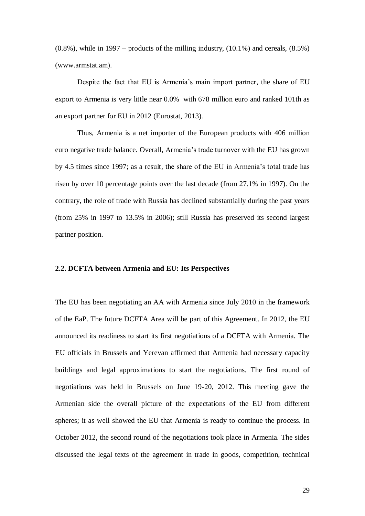$(0.8\%)$ , while in 1997 – products of the milling industry,  $(10.1\%)$  and cereals,  $(8.5\%)$ (www.armstat.am).

Despite the fact that EU is Armenia"s main import partner, the share of EU export to Armenia is very little near 0.0% with 678 million euro and ranked 101th as an export partner for EU in 2012 (Eurostat, 2013).

Thus, Armenia is a net importer of the European products with 406 million euro negative trade balance. Overall, Armenia"s trade turnover with the EU has grown by 4.5 times since 1997; as a result, the share of the EU in Armenia"s total trade has risen by over 10 percentage points over the last decade (from 27.1% in 1997). On the contrary, the role of trade with Russia has declined substantially during the past years (from 25% in 1997 to 13.5% in 2006); still Russia has preserved its second largest partner position.

#### **2.2. DCFTA between Armenia and EU: Its Perspectives**

The EU has been negotiating an AA with Armenia since July 2010 in the framework of the EaP. The future DCFTA Area will be part of this Agreement. In 2012, the EU announced its readiness to start its first negotiations of a DCFTA with Armenia. The EU officials in Brussels and Yerevan affirmed that Armenia had necessary capacity buildings and legal approximations to start the negotiations. The first round of negotiations was held in Brussels on June 19-20, 2012. This meeting gave the Armenian side the overall picture of the expectations of the EU from different spheres; it as well showed the EU that Armenia is ready to continue the process. In October 2012, the second round of the negotiations took place in Armenia. The sides discussed the legal texts of the agreement in trade in goods, competition, technical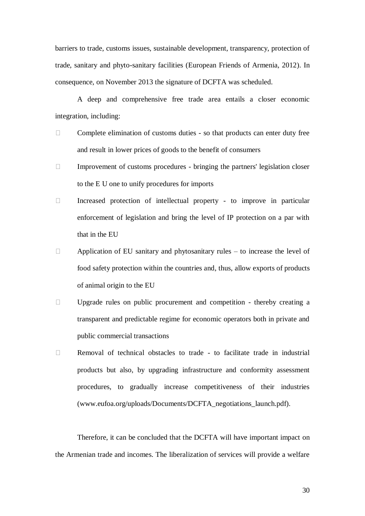barriers to trade, customs issues, sustainable development, transparency, protection of trade, sanitary and phyto-sanitary facilities (European Friends of Armenia, 2012). In consequence, on November 2013 the signature of DCFTA was scheduled.

A deep and comprehensive free trade area entails a closer economic integration, including:

- $\Box$  Complete elimination of customs duties so that products can enter duty free and result in lower prices of goods to the benefit of consumers
- $\Box$  Improvement of customs procedures bringing the partners' legislation closer to the E U one to unify procedures for imports
- $\Box$  Increased protection of intellectual property to improve in particular enforcement of legislation and bring the level of IP protection on a par with that in the EU
- $\Box$  Application of EU sanitary and phytosanitary rules to increase the level of food safety protection within the countries and, thus, allow exports of products of animal origin to the EU
- $\Box$  Upgrade rules on public procurement and competition thereby creating a transparent and predictable regime for economic operators both in private and public commercial transactions
- $\Box$  Removal of technical obstacles to trade to facilitate trade in industrial products but also, by upgrading infrastructure and conformity assessment procedures, to gradually increase competitiveness of their industries (www.eufoa.org/uploads/Documents/DCFTA\_negotiations\_launch.pdf).

Therefore, it can be concluded that the DCFTA will have important impact on the Armenian trade and incomes. The liberalization of services will provide a welfare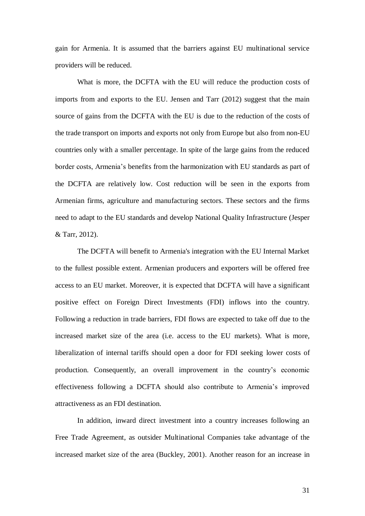gain for Armenia. It is assumed that the barriers against EU multinational service providers will be reduced.

What is more, the DCFTA with the EU will reduce the production costs of imports from and exports to the EU. Jensen and Tarr (2012) suggest that the main source of gains from the DCFTA with the EU is due to the reduction of the costs of the trade transport on imports and exports not only from Europe but also from non-EU countries only with a smaller percentage. In spite of the large gains from the reduced border costs, Armenia"s benefits from the harmonization with EU standards as part of the DCFTA are relatively low. Cost reduction will be seen in the exports from Armenian firms, agriculture and manufacturing sectors. These sectors and the firms need to adapt to the EU standards and develop National Quality Infrastructure (Jesper & Tarr, 2012).

The DCFTA will benefit to Armenia's integration with the EU Internal Market to the fullest possible extent. Armenian producers and exporters will be offered free access to an EU market. Moreover, it is expected that DCFTA will have a significant positive effect on Foreign Direct Investments (FDI) inflows into the country. Following a reduction in trade barriers, FDI flows are expected to take off due to the increased market size of the area (i.e. access to the EU markets). What is more, liberalization of internal tariffs should open a door for FDI seeking lower costs of production. Consequently, an overall improvement in the country"s economic effectiveness following a DCFTA should also contribute to Armenia"s improved attractiveness as an FDI destination.

In addition, inward direct investment into a country increases following an Free Trade Agreement, as outsider Multinational Companies take advantage of the increased market size of the area (Buckley, 2001). Another reason for an increase in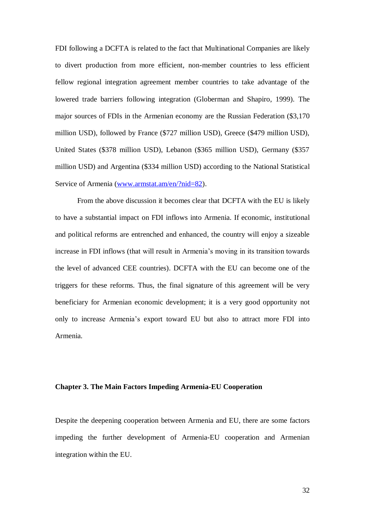FDI following a DCFTA is related to the fact that Multinational Companies are likely to divert production from more efficient, non-member countries to less efficient fellow regional integration agreement member countries to take advantage of the lowered trade barriers following integration (Globerman and Shapiro, 1999). The major sources of FDIs in the Armenian economy are the Russian Federation (\$3,170 million USD), followed by France (\$727 million USD), Greece (\$479 million USD), United States (\$378 million USD), Lebanon (\$365 million USD), Germany (\$357 million USD) and Argentina (\$334 million USD) according to the National Statistical Service of Armenia [\(www.armstat.am/en/?nid=82\)](http://www.armstat.am/en/?nid=82).

From the above discussion it becomes clear that DCFTA with the EU is likely to have a substantial impact on FDI inflows into Armenia. If economic, institutional and political reforms are entrenched and enhanced, the country will enjoy a sizeable increase in FDI inflows (that will result in Armenia"s moving in its transition towards the level of advanced CEE countries). DCFTA with the EU can become one of the triggers for these reforms. Thus, the final signature of this agreement will be very beneficiary for Armenian economic development; it is a very good opportunity not only to increase Armenia"s export toward EU but also to attract more FDI into Armenia.

#### **Chapter 3. The Main Factors Impeding Armenia-EU Cooperation**

Despite the deepening cooperation between Armenia and EU, there are some factors impeding the further development of Armenia-EU cooperation and Armenian integration within the EU.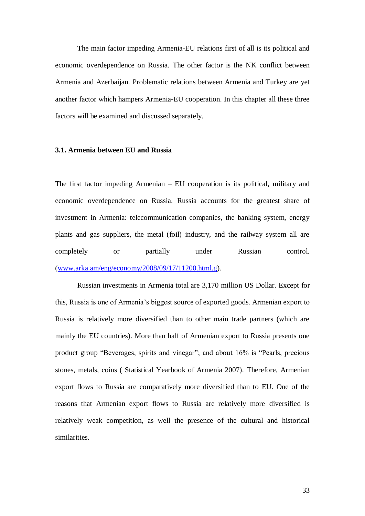The main factor impeding Armenia-EU relations first of all is its political and economic overdependence on Russia. The other factor is the NK conflict between Armenia and Azerbaijan. Problematic relations between Armenia and Turkey are yet another factor which hampers Armenia-EU cooperation. In this chapter all these three factors will be examined and discussed separately.

#### **3.1. Armenia between EU and Russia**

The first factor impeding Armenian – EU cooperation is its political, military and economic overdependence on Russia. Russia accounts for the greatest share of investment in Armenia: telecommunication companies, the banking system, energy plants and gas suppliers, the metal (foil) industry, and the railway system all are completely or partially under Russian control. [\(www.arka.am/eng/economy/2008/09/17/11200.html.g\)](http://www.arka.am/eng/economy/2008/09/17/11200.html.g).

Russian investments in Armenia total are 3,170 million US Dollar. Except for this, Russia is one of Armenia"s biggest source of exported goods. Armenian export to Russia is relatively more diversified than to other main trade partners (which are mainly the EU countries). More than half of Armenian export to Russia presents one product group "Beverages, spirits and vinegar"; and about 16% is "Pearls, precious stones, metals, coins ( Statistical Yearbook of Armenia 2007). Therefore, Armenian export flows to Russia are comparatively more diversified than to EU. One of the reasons that Armenian export flows to Russia are relatively more diversified is relatively weak competition, as well the presence of the cultural and historical similarities.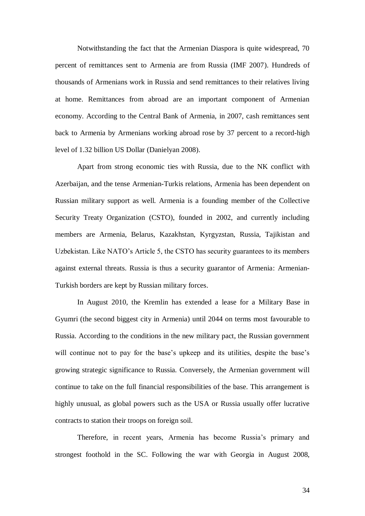Notwithstanding the fact that the Armenian Diaspora is quite widespread, 70 percent of remittances sent to Armenia are from Russia (IMF 2007). Hundreds of thousands of Armenians work in Russia and send remittances to their relatives living at home. Remittances from abroad are an important component of Armenian economy. According to the Central Bank of Armenia, in 2007, cash remittances sent back to Armenia by Armenians working abroad rose by 37 percent to a record-high level of 1.32 billion US Dollar (Danielyan 2008).

Apart from strong economic ties with Russia, due to the NK conflict with Azerbaijan, and the tense Armenian-Turkis relations, Armenia has been dependent on Russian military support as well. Armenia is a founding member of the Collective Security Treaty Organization (CSTO), founded in 2002, and currently including members are Armenia, Belarus, Kazakhstan, Kyrgyzstan, Russia, Tajikistan and Uzbekistan. Like NATO"s Article 5, the CSTO has security guarantees to its members against external threats. Russia is thus a security guarantor of Armenia: Armenian-Turkish borders are kept by Russian military forces.

In August 2010, the Kremlin has extended a lease for a Military Base in Gyumri (the second biggest city in Armenia) until 2044 on terms most favourable to Russia. According to the conditions in the new military pact, the Russian government will continue not to pay for the base's upkeep and its utilities, despite the base's growing strategic significance to Russia. Conversely, the Armenian government will continue to take on the full financial responsibilities of the base. This arrangement is highly unusual, as global powers such as the USA or Russia usually offer lucrative contracts to station their troops on foreign soil.

Therefore, in recent years, Armenia has become Russia"s primary and strongest foothold in the SC. Following the war with Georgia in August 2008,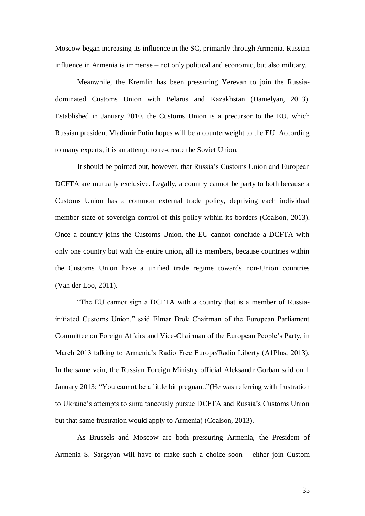Moscow began increasing its influence in the SC, primarily through Armenia. Russian influence in Armenia is immense – not only political and economic, but also military.

Meanwhile, the Kremlin has been pressuring Yerevan to join the Russiadominated Customs Union with Belarus and Kazakhstan (Danielyan, 2013). Established in January 2010, the Customs Union is a precursor to the EU, which Russian president Vladimir Putin hopes will be a counterweight to the EU. According to many experts, it is an attempt to re-create the Soviet Union.

It should be pointed out, however, that Russia"s Customs Union and European DCFTA are mutually exclusive. Legally, a country cannot be party to both because a Customs Union has a common external trade policy, depriving each individual member-state of sovereign control of this policy within its borders (Coalson, 2013). Once a country joins the Customs Union, the EU cannot conclude a DCFTA with only one country but with the entire union, all its members, because countries within the Customs Union have a unified trade regime towards non-Union countries (Van der Loo, 2011).

"The EU cannot sign a DCFTA with a country that is a member of Russiainitiated Customs Union," said Elmar Brok Chairman of the European Parliament Committee on Foreign Affairs and Vice-Chairman of the European People"s Party, in March 2013 talking to Armenia"s Radio Free Europe/Radio Liberty (A1Plus, 2013). In the same vein, the Russian Foreign Ministry official Aleksandr Gorban said on 1 January 2013: "You cannot be a little bit pregnant."(He was referring with frustration to Ukraine"s attempts to simultaneously pursue DCFTA and Russia"s Customs Union but that same frustration would apply to Armenia) (Coalson, 2013).

As Brussels and Moscow are both pressuring Armenia, the President of Armenia S. Sargsyan will have to make such a choice soon – either join Custom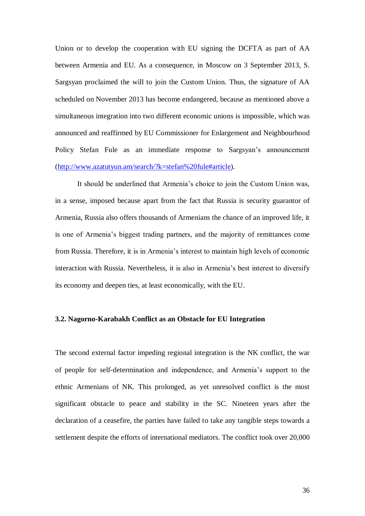Union or to develop the cooperation with EU signing the DCFTA as part of AA between Armenia and EU. As a consequence, in Moscow on 3 September 2013, S. Sargsyan proclaimed the will to join the Custom Union. Thus, the signature of AA scheduled on November 2013 has become endangered, because as mentioned above a simultaneous integration into two different economic unions is impossible, which was announced and reaffirmed by EU Commissioner for Enlargement and Neighbourhood Policy Stefan Fule as an immediate response to Sargsyan's announcement [\(http://www.azatutyun.am/search/?k=stefan%20fule#article\)](http://www.azatutyun.am/search/?k=stefan%20fule#article).

It should be underlined that Armenia"s choice to join the Custom Union was, in a sense, imposed because apart from the fact that Russia is security guarantor of Armenia, Russia also offers thousands of Armenians the chance of an improved life, it is one of Armenia"s biggest trading partners, and the majority of remittances come from Russia. Therefore, it is in Armenia"s interest to maintain high levels of economic interaction with Russia. Nevertheless, it is also in Armenia's best interest to diversify its economy and deepen ties, at least economically, with the EU.

#### **3.2. Nagorno-Karabakh Conflict as an Obstacle for EU Integration**

The second external factor impeding regional integration is the NK conflict, the war of people for self-determination and independence, and Armenia"s support to the ethnic Armenians of NK. This prolonged, as yet unresolved conflict is the most significant obstacle to peace and stability in the SC. Nineteen years after the declaration of a ceasefire, the parties have failed to take any tangible steps towards a settlement despite the efforts of international mediators. The conflict took over 20,000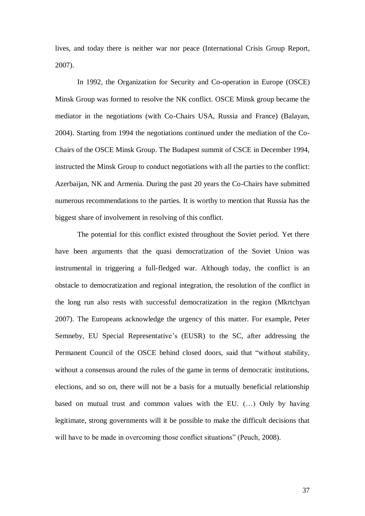lives, and today there is neither war nor peace (International Crisis Group Report, 2007).

In 1992, the Organization for Security and Co-operation in Europe (OSCE) Minsk Group was formed to resolve the NK conflict. OSCE Minsk group became the mediator in the negotiations (with Co-Chairs USA, Russia and France) (Balayan, 2004). Starting from 1994 the negotiations continued under the mediation of the Co-Chairs of the OSCE Minsk Group. The Budapest summit of CSCE in December 1994, instructed the Minsk Group to conduct negotiations with all the parties to the conflict: Azerbaijan, NK and Armenia. During the past 20 years the Co-Chairs have submitted numerous recommendations to the parties. It is worthy to mention that Russia has the biggest share of involvement in resolving of this conflict.

The potential for this conflict existed throughout the Soviet period. Yet there have been arguments that the quasi democratization of the Soviet Union was instrumental in triggering a full-fledged war. Although today, the conflict is an obstacle to democratization and regional integration, the resolution of the conflict in the long run also rests with successful democratization in the region (Mkrtchyan 2007). The Europeans acknowledge the urgency of this matter. For example, Peter Semneby, EU Special Representative's (EUSR) to the SC, after addressing the Permanent Council of the OSCE behind closed doors, said that "without stability, without a consensus around the rules of the game in terms of democratic institutions, elections, and so on, there will not be a basis for a mutually beneficial relationship based on mutual trust and common values with the EU. (…) Only by having legitimate, strong governments will it be possible to make the difficult decisions that will have to be made in overcoming those conflict situations" (Peuch, 2008).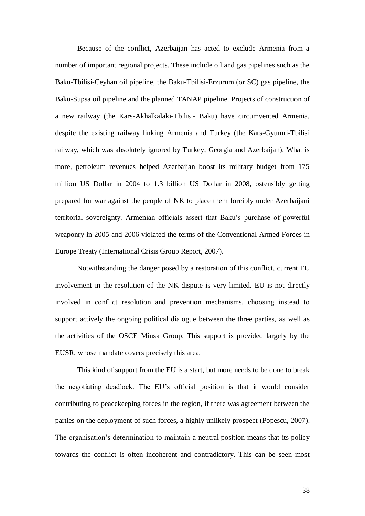Because of the conflict, Azerbaijan has acted to exclude Armenia from a number of important regional projects. These include oil and gas pipelines such as the Baku-Tbilisi-Ceyhan oil pipeline, the Baku-Tbilisi-Erzurum (or SC) gas pipeline, the Baku-Supsa oil pipeline and the planned TANAP pipeline. Projects of construction of a new railway (the Kars-Akhalkalaki-Tbilisi- Baku) have circumvented Armenia, despite the existing railway linking Armenia and Turkey (the Kars-Gyumri-Tbilisi railway, which was absolutely ignored by Turkey, Georgia and Azerbaijan). What is more, petroleum revenues helped Azerbaijan boost its military budget from 175 million US Dollar in 2004 to 1.3 billion US Dollar in 2008, ostensibly getting prepared for war against the people of NK to place them forcibly under Azerbaijani territorial sovereignty. Armenian officials assert that Baku"s purchase of powerful weaponry in 2005 and 2006 violated the terms of the Conventional Armed Forces in Europe Treaty (International Crisis Group Report, 2007).

Notwithstanding the danger posed by a restoration of this conflict, current EU involvement in the resolution of the NK dispute is very limited. EU is not directly involved in conflict resolution and prevention mechanisms, choosing instead to support actively the ongoing political dialogue between the three parties, as well as the activities of the OSCE Minsk Group. This support is provided largely by the EUSR, whose mandate covers precisely this area.

This kind of support from the EU is a start, but more needs to be done to break the negotiating deadlock. The EU"s official position is that it would consider contributing to peacekeeping forces in the region, if there was agreement between the parties on the deployment of such forces, a highly unlikely prospect (Popescu, 2007). The organisation"s determination to maintain a neutral position means that its policy towards the conflict is often incoherent and contradictory. This can be seen most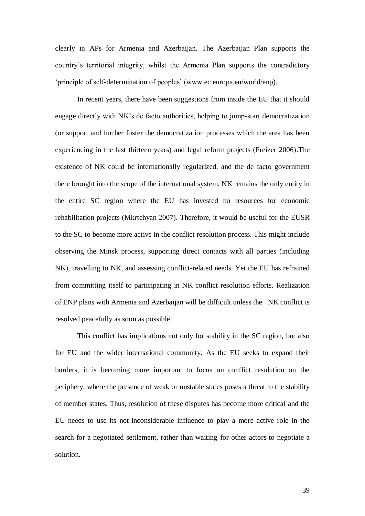clearly in APs for Armenia and Azerbaijan. The Azerbaijan Plan supports the country"s territorial integrity, whilst the Armenia Plan supports the contradictory 'principle of self-determination of peoples' (www.ec.europa.eu/world/enp).

In recent years, there have been suggestions from inside the EU that it should engage directly with NK"s de facto authorities, helping to jump-start democratization (or support and further foster the democratization processes which the area has been experiencing in the last thirteen years) and legal reform projects (Freizer 2006).The existence of NK could be internationally regularized, and the de facto government there brought into the scope of the international system. NK remains the only entity in the entire SC region where the EU has invested no resources for economic rehabilitation projects (Mkrtchyan 2007). Therefore, it would be useful for the EUSR to the SC to become more active in the conflict resolution process. This might include observing the Minsk process, supporting direct contacts with all parties (including NK), travelling to NK, and assessing conflict-related needs. Yet the EU has refrained from committing itself to participating in NK conflict resolution efforts. Realization of ENP plans with Armenia and Azerbaijan will be difficult unless the NK conflict is resolved peacefully as soon as possible.

This conflict has implications not only for stability in the SC region, but also for EU and the wider international community. As the EU seeks to expand their borders, it is becoming more important to focus on conflict resolution on the periphery, where the presence of weak or unstable states poses a threat to the stability of member states. Thus, resolution of these disputes has become more critical and the EU needs to use its not-inconsiderable influence to play a more active role in the search for a negotiated settlement, rather than waiting for other actors to negotiate a solution.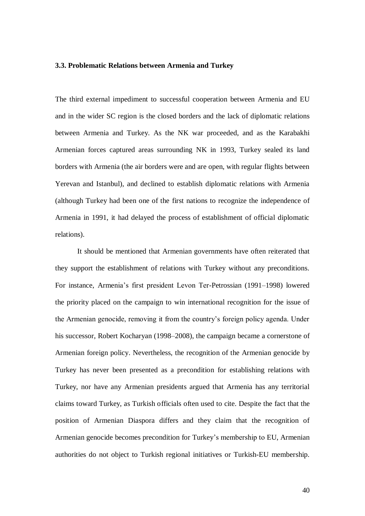#### **3.3. Problematic Relations between Armenia and Turkey**

The third external impediment to successful cooperation between Armenia and EU and in the wider SC region is the closed borders and the lack of diplomatic relations between Armenia and Turkey. As the NK war proceeded, and as the Karabakhi Armenian forces captured areas surrounding NK in 1993, Turkey sealed its land borders with Armenia (the air borders were and are open, with regular flights between Yerevan and Istanbul), and declined to establish diplomatic relations with Armenia (although Turkey had been one of the first nations to recognize the independence of Armenia in 1991, it had delayed the process of establishment of official diplomatic relations).

It should be mentioned that Armenian governments have often reiterated that they support the establishment of relations with Turkey without any preconditions. For instance, Armenia"s first president Levon Ter-Petrossian (1991–1998) lowered the priority placed on the campaign to win international recognition for the issue of the Armenian genocide, removing it from the country"s foreign policy agenda. Under his successor, Robert Kocharyan (1998–2008), the campaign became a cornerstone of Armenian foreign policy. Nevertheless, the recognition of the Armenian genocide by Turkey has never been presented as a precondition for establishing relations with Turkey, nor have any Armenian presidents argued that Armenia has any territorial claims toward Turkey, as Turkish officials often used to cite. Despite the fact that the position of Armenian Diaspora differs and they claim that the recognition of Armenian genocide becomes precondition for Turkey"s membership to EU, Armenian authorities do not object to Turkish regional initiatives or Turkish-EU membership.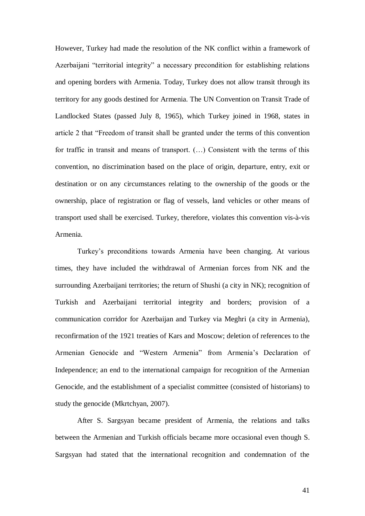However, Turkey had made the resolution of the NK conflict within a framework of Azerbaijani "territorial integrity" a necessary precondition for establishing relations and opening borders with Armenia. Today, Turkey does not allow transit through its territory for any goods destined for Armenia. The UN Convention on Transit Trade of Landlocked States (passed July 8, 1965), which Turkey joined in 1968, states in article 2 that "Freedom of transit shall be granted under the terms of this convention for traffic in transit and means of transport. (…) Consistent with the terms of this convention, no discrimination based on the place of origin, departure, entry, exit or destination or on any circumstances relating to the ownership of the goods or the ownership, place of registration or flag of vessels, land vehicles or other means of transport used shall be exercised. Turkey, therefore, violates this convention vis-à-vis Armenia.

Turkey"s preconditions towards Armenia have been changing. At various times, they have included the withdrawal of Armenian forces from NK and the surrounding Azerbaijani territories; the return of Shushi (a city in NK); recognition of Turkish and Azerbaijani territorial integrity and borders; provision of a communication corridor for Azerbaijan and Turkey via Meghri (a city in Armenia), reconfirmation of the 1921 treaties of Kars and Moscow; deletion of references to the Armenian Genocide and "Western Armenia" from Armenia"s Declaration of Independence; an end to the international campaign for recognition of the Armenian Genocide, and the establishment of a specialist committee (consisted of historians) to study the genocide (Mkrtchyan, 2007).

After S. Sargsyan became president of Armenia, the relations and talks between the Armenian and Turkish officials became more occasional even though S. Sargsyan had stated that the international recognition and condemnation of the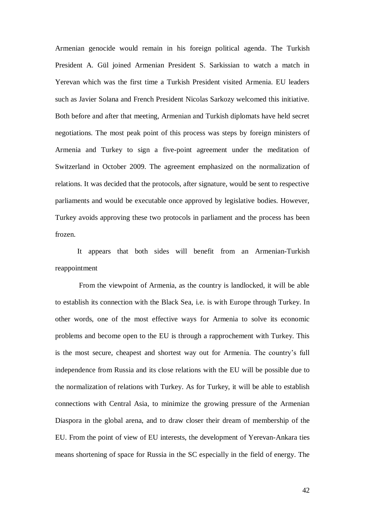Armenian genocide would remain in his foreign political agenda. The Turkish President A. Gül joined Armenian President S. Sarkissian to watch a match in Yerevan which was the first time a Turkish President visited Armenia. EU leaders such as Javier Solana and French President Nicolas Sarkozy welcomed this initiative. Both before and after that meeting, Armenian and Turkish diplomats have held secret negotiations. The most peak point of this process was steps by foreign ministers of Armenia and Turkey to sign a five-point agreement under the meditation of Switzerland in October 2009. The agreement emphasized on the normalization of relations. It was decided that the protocols, after signature, would be sent to respective parliaments and would be executable once approved by legislative bodies. However, Turkey avoids approving these two protocols in parliament and the process has been frozen.

It appears that both sides will benefit from an Armenian-Turkish reappointment

From the viewpoint of Armenia, as the country is landlocked, it will be able to establish its connection with the Black Sea, i.e. is with Europe through Turkey. In other words, one of the most effective ways for Armenia to solve its economic problems and become open to the EU is through a rapprochement with Turkey. This is the most secure, cheapest and shortest way out for Armenia. The country"s full independence from Russia and its close relations with the EU will be possible due to the normalization of relations with Turkey. As for Turkey, it will be able to establish connections with Central Asia, to minimize the growing pressure of the Armenian Diaspora in the global arena, and to draw closer their dream of membership of the EU. From the point of view of EU interests, the development of Yerevan-Ankara ties means shortening of space for Russia in the SC especially in the field of energy. The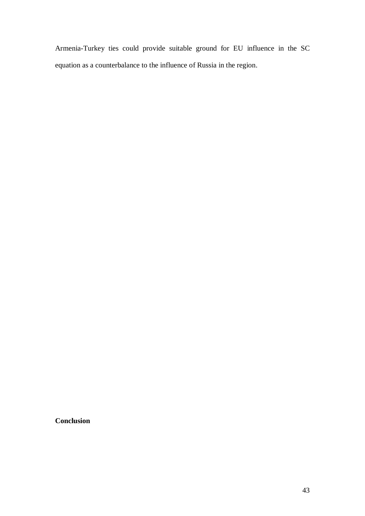Armenia-Turkey ties could provide suitable ground for EU influence in the SC equation as a counterbalance to the influence of Russia in the region.

**Conclusion**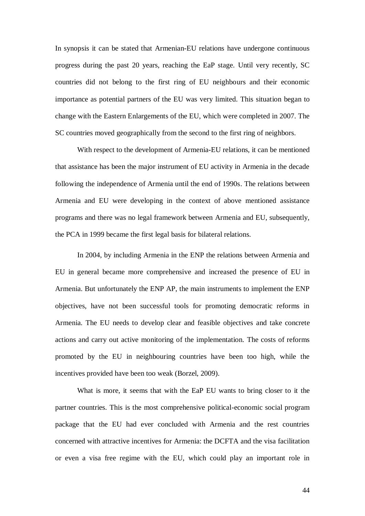In synopsis it can be stated that Armenian-EU relations have undergone continuous progress during the past 20 years, reaching the EaP stage. Until very recently, SC countries did not belong to the first ring of EU neighbours and their economic importance as potential partners of the EU was very limited. This situation began to change with the Eastern Enlargements of the EU, which were completed in 2007. The SC countries moved geographically from the second to the first ring of neighbors.

With respect to the development of Armenia-EU relations, it can be mentioned that assistance has been the major instrument of EU activity in Armenia in the decade following the independence of Armenia until the end of 1990s. The relations between Armenia and EU were developing in the context of above mentioned assistance programs and there was no legal framework between Armenia and EU, subsequently, the PCA in 1999 became the first legal basis for bilateral relations.

In 2004, by including Armenia in the ENP the relations between Armenia and EU in general became more comprehensive and increased the presence of EU in Armenia. But unfortunately the ENP AP, the main instruments to implement the ENP objectives, have not been successful tools for promoting democratic reforms in Armenia. The EU needs to develop clear and feasible objectives and take concrete actions and carry out active monitoring of the implementation. The costs of reforms promoted by the EU in neighbouring countries have been too high, while the incentives provided have been too weak (Borzel, 2009).

What is more, it seems that with the EaP EU wants to bring closer to it the partner countries. This is the most comprehensive political-economic social program package that the EU had ever concluded with Armenia and the rest countries concerned with attractive incentives for Armenia: the DCFTA and the visa facilitation or even a visa free regime with the EU, which could play an important role in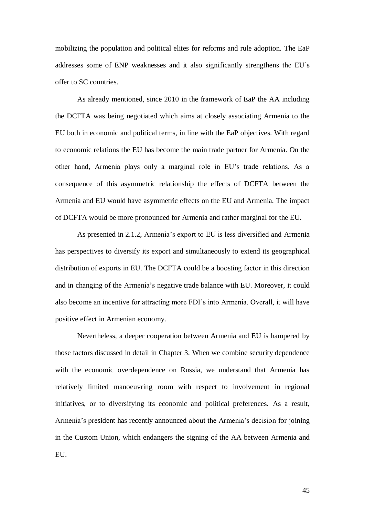mobilizing the population and political elites for reforms and rule adoption. The EaP addresses some of ENP weaknesses and it also significantly strengthens the EU"s offer to SC countries.

As already mentioned, since 2010 in the framework of EaP the AA including the DCFTA was being negotiated which aims at closely associating Armenia to the EU both in economic and political terms, in line with the EaP objectives. With regard to economic relations the EU has become the main trade partner for Armenia. On the other hand, Armenia plays only a marginal role in EU"s trade relations. As a consequence of this asymmetric relationship the effects of DCFTA between the Armenia and EU would have asymmetric effects on the EU and Armenia. The impact of DCFTA would be more pronounced for Armenia and rather marginal for the EU.

As presented in 2.1.2, Armenia's export to EU is less diversified and Armenia has perspectives to diversify its export and simultaneously to extend its geographical distribution of exports in EU. The DCFTA could be a boosting factor in this direction and in changing of the Armenia"s negative trade balance with EU. Moreover, it could also become an incentive for attracting more FDI"s into Armenia. Overall, it will have positive effect in Armenian economy.

Nevertheless, a deeper cooperation between Armenia and EU is hampered by those factors discussed in detail in Chapter 3. When we combine security dependence with the economic overdependence on Russia, we understand that Armenia has relatively limited manoeuvring room with respect to involvement in regional initiatives, or to diversifying its economic and political preferences. As a result, Armenia"s president has recently announced about the Armenia"s decision for joining in the Custom Union, which endangers the signing of the AA between Armenia and EU.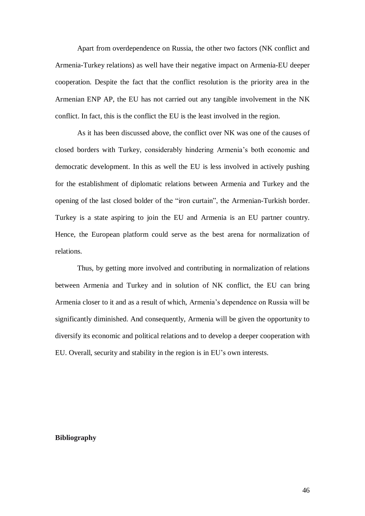Apart from overdependence on Russia, the other two factors (NK conflict and Armenia-Turkey relations) as well have their negative impact on Armenia-EU deeper cooperation. Despite the fact that the conflict resolution is the priority area in the Armenian ENP AP, the EU has not carried out any tangible involvement in the NK conflict. In fact, this is the conflict the EU is the least involved in the region.

As it has been discussed above, the conflict over NK was one of the causes of closed borders with Turkey, considerably hindering Armenia"s both economic and democratic development. In this as well the EU is less involved in actively pushing for the establishment of diplomatic relations between Armenia and Turkey and the opening of the last closed bolder of the "iron curtain", the Armenian-Turkish border. Turkey is a state aspiring to join the EU and Armenia is an EU partner country. Hence, the European platform could serve as the best arena for normalization of relations.

Thus, by getting more involved and contributing in normalization of relations between Armenia and Turkey and in solution of NK conflict, the EU can bring Armenia closer to it and as a result of which, Armenia"s dependence on Russia will be significantly diminished. And consequently, Armenia will be given the opportunity to diversify its economic and political relations and to develop a deeper cooperation with EU. Overall, security and stability in the region is in EU"s own interests.

#### **Bibliography**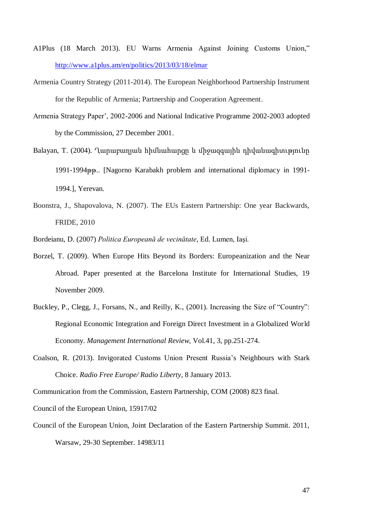- A1Plus (18 March 2013). EU Warns Armenia Against Joining Customs Union," <http://www.a1plus.am/en/politics/2013/03/18/elmar>
- Armenia Country Strategy (2011-2014). The European Neighborhood Partnership Instrument for the Republic of Armenia; Partnership and Cooperation Agreement.
- Armenia Strategy Paper", 2002-2006 and National Indicative Programme 2002-2003 adopted by the Commission, 27 December 2001.
- Balayan, T. (2004). Ղարաբաղյան հիմնահարցը և միջազգային դիվանագիտւթյունը 1991-1994թթ.. [Nagorno Karabakh problem and international diplomacy in 1991- 1994.], Yerevan.
- Boonstra, J., Shapovalova, N. (2007). The EUs Eastern Partnership: One year Backwards, FRIDE, 2010
- Bordeianu, D. (2007) *Politica Europeană de vecinătate*, Ed. Lumen, Iaşi.
- Borzel, T. (2009). When Europe Hits Beyond its Borders: Europeanization and the Near Abroad. Paper presented at the Barcelona Institute for International Studies, 19 November 2009.
- Buckley, P., Clegg, J., Forsans, N., and Reilly, K., (2001). Increasing the Size of "Country": Regional Economic Integration and Foreign Direct Investment in a Globalized World Economy. *Management International Review*, Vol.41, 3, pp.251-274.
- Coalson, R. (2013). Invigorated Customs Union Present Russia's Neighbours with Stark Choice. *Radio Free Europe/ Radio Liberty*, 8 January 2013.

Communication from the Commission, Eastern Partnership, COM (2008) 823 final.

Council of the European Union, 15917/02

Council of the European Union, Joint Declaration of the Eastern Partnership Summit. 2011, Warsaw, 29-30 September. 14983/11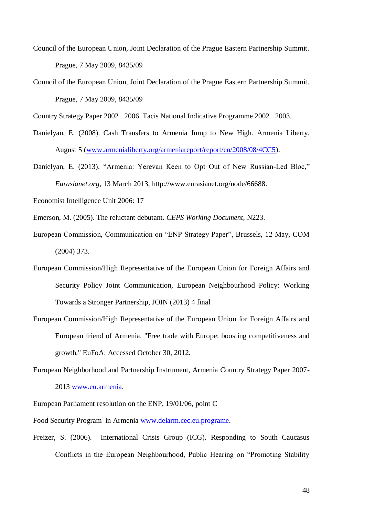- Council of the European Union, Joint Declaration of the Prague Eastern Partnership Summit. Prague, 7 May 2009, 8435/09
- Council of the European Union, Joint Declaration of the Prague Eastern Partnership Summit. Prague, 7 May 2009, 8435/09

Country Strategy Paper 2002 2006. Tacis National Indicative Programme 2002 2003.

- Danielyan, E. (2008). Cash Transfers to Armenia Jump to New High. Armenia Liberty. August 5 [\(www.armenialiberty.org/armeniareport/report/en/2008/08/4CC5\)](http://www.armenialiberty.org/armeniareport/report/en/2008/08/4CC5).
- Danielyan, E. (2013). "Armenia: Yerevan Keen to Opt Out of New Russian-Led Bloc," *Eurasianet.org*, 13 March 2013, http://www.eurasianet.org/node/66688.
- Economist Intelligence Unit 2006: 17
- Emerson, M. (2005). The reluctant debutant. *CEPS Working Document,* N223.
- European Commission, Communication on "ENP Strategy Paper", Brussels, 12 May, COM (2004) 373.
- European Commission/High Representative of the European Union for Foreign Affairs and Security Policy Joint Communication, European Neighbourhood Policy: Working Towards a Stronger Partnership, JOIN (2013) 4 final
- European Commission/High Representative of the European Union for Foreign Affairs and European friend of Armenia. "Free trade with Europe: boosting competitiveness and growth." EuFoA: Accessed October 30, 2012.
- European Neighborhood and Partnership Instrument, Armenia Country Strategy Paper 2007- 2013 [www.eu.armenia.](http://www.eu.armenia/)
- European Parliament resolution on the ENP, 19/01/06, point C
- Food Security Program in Armenia [www.delarm.cec.eu.programe.](http://www.delarm.cec.eu.programe/)
- Freizer, S. (2006). International Crisis Group (ICG). Responding to South Caucasus Conflicts in the European Neighbourhood, Public Hearing on "Promoting Stability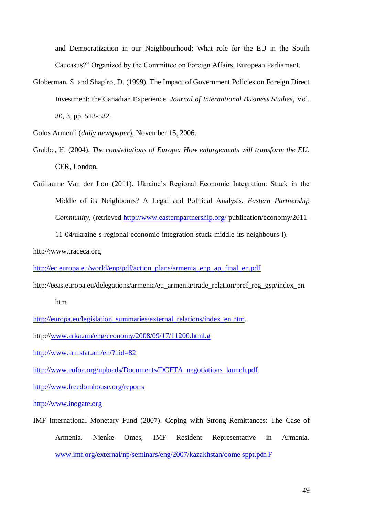and Democratization in our Neighbourhood: What role for the EU in the South Caucasus?" Organized by the Committee on Foreign Affairs, European Parliament.

Globerman, S. and Shapiro, D. (1999). The Impact of Government Policies on Foreign Direct Investment: the Canadian Experience. *Journal of International Business Studies*, Vol. 30, 3, pp. 513-532.

Golos Armenii (*daily newspaper*), November 15, 2006.

- Grabbe, H. (2004). *The constellations of Europe: How enlargements will transform the EU*. CER, London.
- Guillaume Van der Loo (2011). Ukraine"s Regional Economic Integration: Stuck in the Middle of its Neighbours? A Legal and Political Analysis. *Eastern Partnership Community*, (retrieved<http://www.easternpartnership.org/> publication/economy/2011-

11-04/ukraine-s-regional-economic-integration-stuck-middle-its-neighbours-l).

http//:www.traceca.org

[http://ec.europa.eu/world/enp/pdf/action\\_plans/armenia\\_enp\\_ap\\_final\\_en.pdf](http://ec.europa.eu/world/enp/pdf/action_plans/armenia_enp_ap_final_en.pdf)

http://eeas.europa.eu/delegations/armenia/eu\_armenia/trade\_relation/pref\_reg\_gsp/index\_en.

htm

[http://europa.eu/legislation\\_summaries/external\\_relations/index\\_en.htm.](http://europa.eu/legislation_summaries/external_relations/index_en.htm)

http:/[/www.arka.am/eng/economy/2008/09/17/11200.html.g](http://www.arka.am/eng/economy/2008/09/17/11200.html.g)

<http://www.armstat.am/en/?nid=82>

[http://www.eufoa.org/uploads/Documents/DCFTA\\_negotiations\\_launch.pdf](http://www.eufoa.org/uploads/Documents/DCFTA_negotiations_launch.pdf)

<http://www.freedomhouse.org/reports>

[http://www.inogate.org](http://www.inogate.org/)

IMF International Monetary Fund (2007). Coping with Strong Remittances: The Case of Armenia. Nienke Omes, IMF Resident Representative in Armenia. [www.imf.org/external/np/seminars/eng/2007/kazakhstan/oome sppt.pdf.F](http://www.imf.org/external/np/seminars/eng/2007/kazakhstan/oome%20sppt.pdf.F)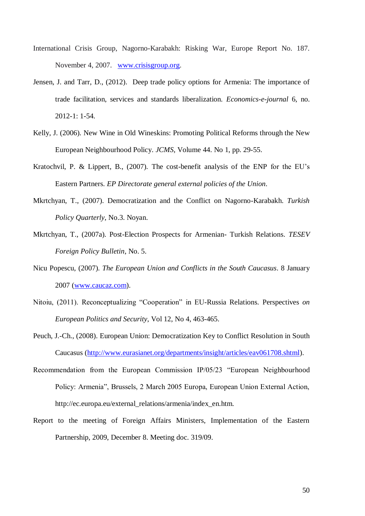- International Crisis Group, Nagorno-Karabakh: Risking War, Europe Report No. 187. November 4, 2007. [www.crisisgroup.org.](http://www.crisisgroup.org/)
- Jensen, J. and Tarr, D., (2012). Deep trade policy options for Armenia: The importance of trade facilitation, services and standards liberalization. *Economics-e-journal* 6, no. 2012-1: 1-54.
- Kelly, J. (2006). New Wine in Old Wineskins: Promoting Political Reforms through the New European Neighbourhood Policy. *JCMS*, Volume 44. No 1, pp. 29-55.
- Kratochvil, P. & Lippert, B., (2007). The cost-benefit analysis of the ENP for the EU"s Eastern Partners. *EP Directorate general external policies of the Union*.
- Mkrtchyan, T., (2007). Democratization and the Conflict on Nagorno-Karabakh. *Turkish Policy Quarterly*, No.3. Noyan.
- Mkrtchyan, T., (2007a). Post-Election Prospects for Armenian- Turkish Relations. *TESEV Foreign Policy Bulletin*, No. 5.
- Nicu Popescu, (2007). *The European Union and Conflicts in the South Caucasus*. 8 January 2007 [\(www.caucaz.com\)](http://www.caucaz.com/).
- Nitoiu, (2011). Reconceptualizing "Cooperation" in EU-Russia Relations. Perspectives *on European Politics and Security*, Vol 12, No 4, 463-465.
- Peuch, J.-Ch., (2008). European Union: Democratization Key to Conflict Resolution in South Caucasus [\(http://www.eurasianet.org/departments/insight/articles/eav061708.shtml\)](http://www.eurasianet.org/departments/insight/articles/eav061708.shtml).
- Recommendation from the European Commission IP/05/23 "European Neighbourhood Policy: Armenia", Brussels, 2 March 2005 Europa, European Union External Action, http://ec.europa.eu/external\_relations/armenia/index\_en.htm.
- Report to the meeting of Foreign Affairs Ministers, Implementation of the Eastern Partnership, 2009, December 8. Meeting doc. 319/09.